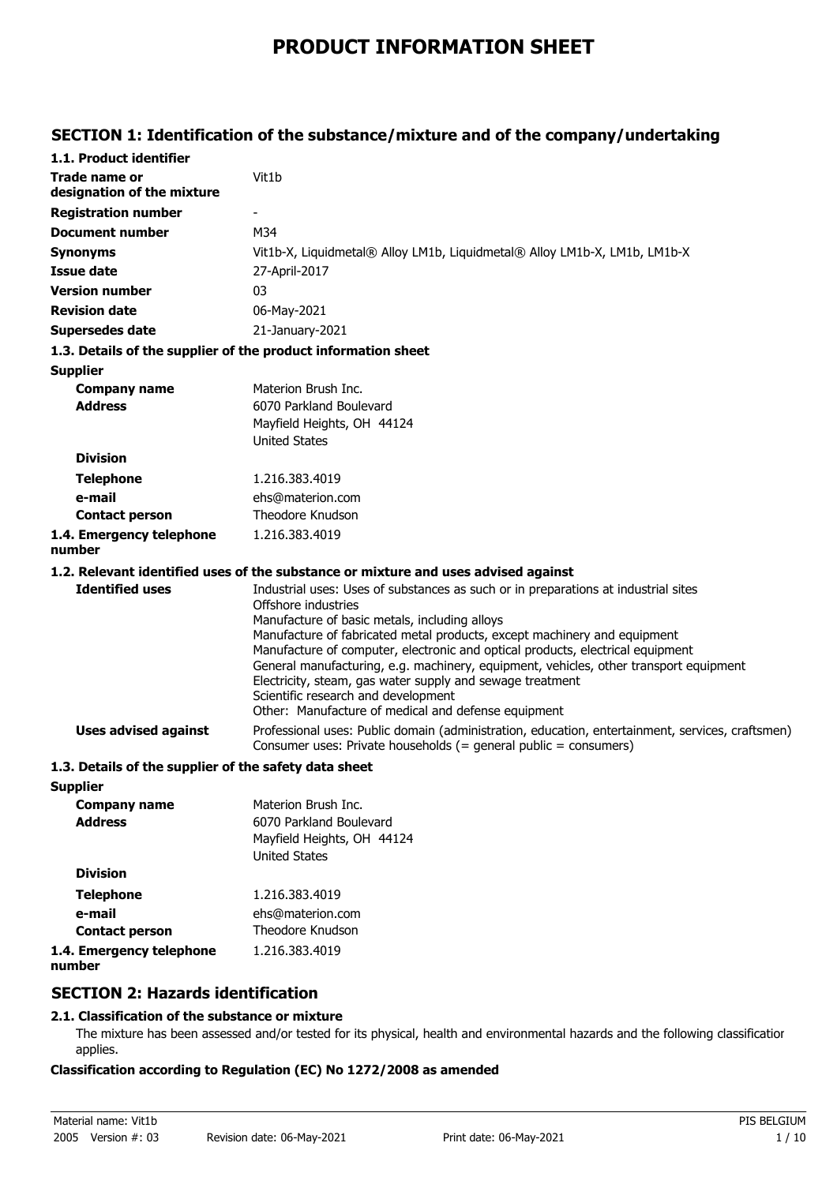# **PRODUCT INFORMATION SHEET**

## **SECTION 1: Identification of the substance/mixture and of the company/undertaking**

| 1.1. Product identifier                               |                                                                                                                                                                                                                                                                                                                                                                                                                                                                                                                                                                                                                                                                                  |
|-------------------------------------------------------|----------------------------------------------------------------------------------------------------------------------------------------------------------------------------------------------------------------------------------------------------------------------------------------------------------------------------------------------------------------------------------------------------------------------------------------------------------------------------------------------------------------------------------------------------------------------------------------------------------------------------------------------------------------------------------|
| <b>Trade name or</b><br>designation of the mixture    | Vit1b                                                                                                                                                                                                                                                                                                                                                                                                                                                                                                                                                                                                                                                                            |
| <b>Registration number</b>                            |                                                                                                                                                                                                                                                                                                                                                                                                                                                                                                                                                                                                                                                                                  |
| Document number                                       | M34                                                                                                                                                                                                                                                                                                                                                                                                                                                                                                                                                                                                                                                                              |
| <b>Synonyms</b>                                       | Vit1b-X, Liquidmetal® Alloy LM1b, Liquidmetal® Alloy LM1b-X, LM1b, LM1b-X                                                                                                                                                                                                                                                                                                                                                                                                                                                                                                                                                                                                        |
| <b>Issue date</b>                                     | 27-April-2017                                                                                                                                                                                                                                                                                                                                                                                                                                                                                                                                                                                                                                                                    |
| <b>Version number</b>                                 | 03                                                                                                                                                                                                                                                                                                                                                                                                                                                                                                                                                                                                                                                                               |
| <b>Revision date</b>                                  | 06-May-2021                                                                                                                                                                                                                                                                                                                                                                                                                                                                                                                                                                                                                                                                      |
| <b>Supersedes date</b>                                | 21-January-2021                                                                                                                                                                                                                                                                                                                                                                                                                                                                                                                                                                                                                                                                  |
|                                                       | 1.3. Details of the supplier of the product information sheet                                                                                                                                                                                                                                                                                                                                                                                                                                                                                                                                                                                                                    |
| <b>Supplier</b>                                       |                                                                                                                                                                                                                                                                                                                                                                                                                                                                                                                                                                                                                                                                                  |
| <b>Company name</b>                                   | Materion Brush Inc.                                                                                                                                                                                                                                                                                                                                                                                                                                                                                                                                                                                                                                                              |
| <b>Address</b>                                        | 6070 Parkland Boulevard                                                                                                                                                                                                                                                                                                                                                                                                                                                                                                                                                                                                                                                          |
|                                                       | Mayfield Heights, OH 44124                                                                                                                                                                                                                                                                                                                                                                                                                                                                                                                                                                                                                                                       |
|                                                       | <b>United States</b>                                                                                                                                                                                                                                                                                                                                                                                                                                                                                                                                                                                                                                                             |
| <b>Division</b>                                       |                                                                                                                                                                                                                                                                                                                                                                                                                                                                                                                                                                                                                                                                                  |
| <b>Telephone</b>                                      | 1.216.383.4019                                                                                                                                                                                                                                                                                                                                                                                                                                                                                                                                                                                                                                                                   |
| e-mail                                                | ehs@materion.com                                                                                                                                                                                                                                                                                                                                                                                                                                                                                                                                                                                                                                                                 |
| <b>Contact person</b>                                 | Theodore Knudson                                                                                                                                                                                                                                                                                                                                                                                                                                                                                                                                                                                                                                                                 |
| 1.4. Emergency telephone<br>number                    | 1.216.383.4019                                                                                                                                                                                                                                                                                                                                                                                                                                                                                                                                                                                                                                                                   |
|                                                       | 1.2. Relevant identified uses of the substance or mixture and uses advised against                                                                                                                                                                                                                                                                                                                                                                                                                                                                                                                                                                                               |
| <b>Identified uses</b><br><b>Uses advised against</b> | Industrial uses: Uses of substances as such or in preparations at industrial sites<br>Offshore industries<br>Manufacture of basic metals, including alloys<br>Manufacture of fabricated metal products, except machinery and equipment<br>Manufacture of computer, electronic and optical products, electrical equipment<br>General manufacturing, e.g. machinery, equipment, vehicles, other transport equipment<br>Electricity, steam, gas water supply and sewage treatment<br>Scientific research and development<br>Other: Manufacture of medical and defense equipment<br>Professional uses: Public domain (administration, education, entertainment, services, craftsmen) |
|                                                       | Consumer uses: Private households (= general public = consumers)                                                                                                                                                                                                                                                                                                                                                                                                                                                                                                                                                                                                                 |
| 1.3. Details of the supplier of the safety data sheet |                                                                                                                                                                                                                                                                                                                                                                                                                                                                                                                                                                                                                                                                                  |
| <b>Supplier</b>                                       |                                                                                                                                                                                                                                                                                                                                                                                                                                                                                                                                                                                                                                                                                  |
| <b>Company name</b><br><b>Address</b>                 | Materion Brush Inc.<br>6070 Parkland Boulevard                                                                                                                                                                                                                                                                                                                                                                                                                                                                                                                                                                                                                                   |
|                                                       | Mayfield Heights, OH 44124<br><b>United States</b>                                                                                                                                                                                                                                                                                                                                                                                                                                                                                                                                                                                                                               |
| <b>Division</b>                                       |                                                                                                                                                                                                                                                                                                                                                                                                                                                                                                                                                                                                                                                                                  |
| <b>Telephone</b>                                      | 1.216.383.4019                                                                                                                                                                                                                                                                                                                                                                                                                                                                                                                                                                                                                                                                   |
| e-mail                                                | ehs@materion.com                                                                                                                                                                                                                                                                                                                                                                                                                                                                                                                                                                                                                                                                 |
| <b>Contact person</b>                                 | Theodore Knudson                                                                                                                                                                                                                                                                                                                                                                                                                                                                                                                                                                                                                                                                 |
| 1.4. Emergency telephone<br>number                    | 1.216.383.4019                                                                                                                                                                                                                                                                                                                                                                                                                                                                                                                                                                                                                                                                   |
|                                                       |                                                                                                                                                                                                                                                                                                                                                                                                                                                                                                                                                                                                                                                                                  |

## **SECTION 2: Hazards identification**

## **2.1. Classification of the substance or mixture**

The mixture has been assessed and/or tested for its physical, health and environmental hazards and the following classification applies.

#### **Classification according to Regulation (EC) No 1272/2008 as amended**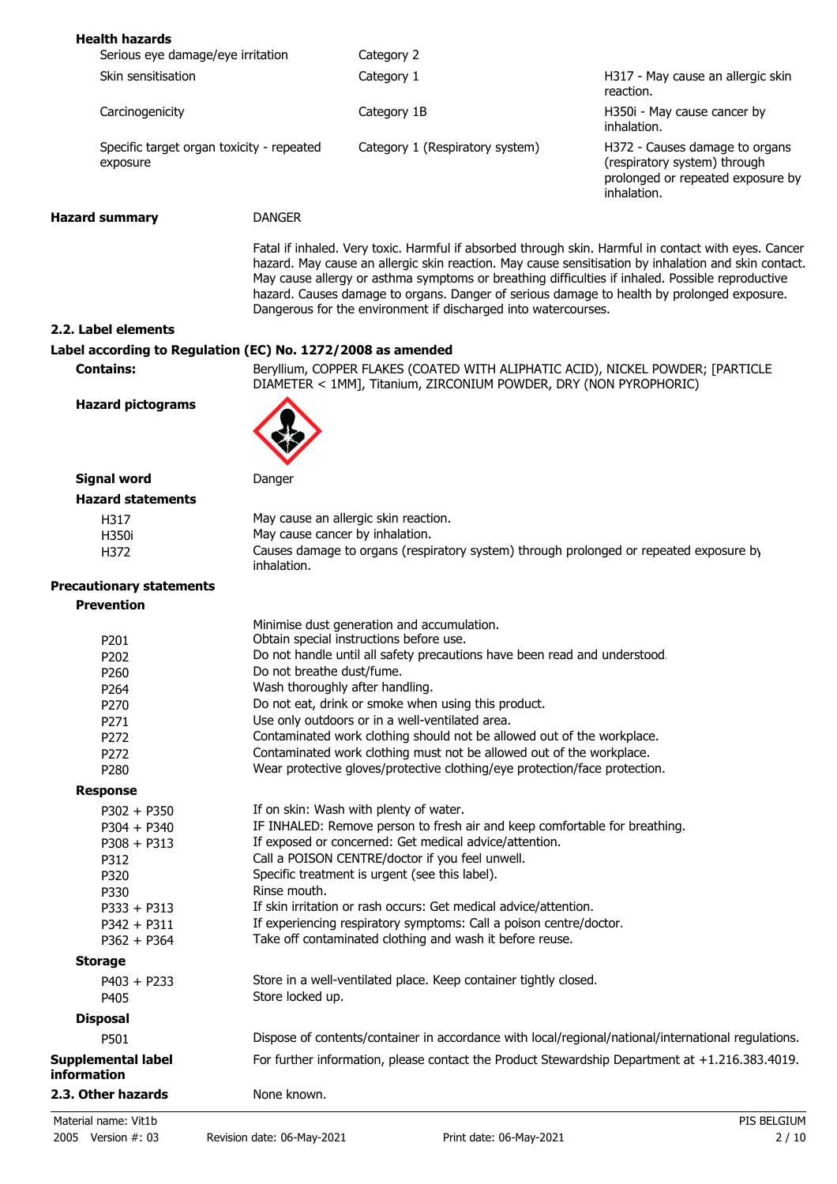| <b>Health hazards</b>                                       |                           |                                                                                                                                                                                                                                                                  |                                                                                                                                                                                                              |  |
|-------------------------------------------------------------|---------------------------|------------------------------------------------------------------------------------------------------------------------------------------------------------------------------------------------------------------------------------------------------------------|--------------------------------------------------------------------------------------------------------------------------------------------------------------------------------------------------------------|--|
| Serious eye damage/eye irritation                           |                           | Category 2                                                                                                                                                                                                                                                       |                                                                                                                                                                                                              |  |
| Skin sensitisation                                          |                           | Category 1                                                                                                                                                                                                                                                       | H317 - May cause an allergic skin<br>reaction.                                                                                                                                                               |  |
| Carcinogenicity                                             |                           | Category 1B                                                                                                                                                                                                                                                      | H350i - May cause cancer by<br>inhalation.                                                                                                                                                                   |  |
| Specific target organ toxicity - repeated<br>exposure       |                           | Category 1 (Respiratory system)                                                                                                                                                                                                                                  | H372 - Causes damage to organs<br>(respiratory system) through<br>prolonged or repeated exposure by<br>inhalation.                                                                                           |  |
| <b>Hazard summary</b>                                       | <b>DANGER</b>             |                                                                                                                                                                                                                                                                  |                                                                                                                                                                                                              |  |
|                                                             |                           | May cause allergy or asthma symptoms or breathing difficulties if inhaled. Possible reproductive<br>hazard. Causes damage to organs. Danger of serious damage to health by prolonged exposure.<br>Dangerous for the environment if discharged into watercourses. | Fatal if inhaled. Very toxic. Harmful if absorbed through skin. Harmful in contact with eyes. Cancer<br>hazard. May cause an allergic skin reaction. May cause sensitisation by inhalation and skin contact. |  |
| 2.2. Label elements                                         |                           |                                                                                                                                                                                                                                                                  |                                                                                                                                                                                                              |  |
| Label according to Regulation (EC) No. 1272/2008 as amended |                           |                                                                                                                                                                                                                                                                  |                                                                                                                                                                                                              |  |
| <b>Contains:</b>                                            |                           | Beryllium, COPPER FLAKES (COATED WITH ALIPHATIC ACID), NICKEL POWDER; [PARTICLE<br>DIAMETER < 1MM], Titanium, ZIRCONIUM POWDER, DRY (NON PYROPHORIC)                                                                                                             |                                                                                                                                                                                                              |  |
| <b>Hazard pictograms</b>                                    |                           |                                                                                                                                                                                                                                                                  |                                                                                                                                                                                                              |  |
| <b>Signal word</b>                                          | Danger                    |                                                                                                                                                                                                                                                                  |                                                                                                                                                                                                              |  |
| <b>Hazard statements</b>                                    |                           |                                                                                                                                                                                                                                                                  |                                                                                                                                                                                                              |  |
| H317                                                        |                           | May cause an allergic skin reaction.                                                                                                                                                                                                                             |                                                                                                                                                                                                              |  |
| H350i                                                       |                           | May cause cancer by inhalation.                                                                                                                                                                                                                                  |                                                                                                                                                                                                              |  |
| H372                                                        | inhalation.               | Causes damage to organs (respiratory system) through prolonged or repeated exposure by                                                                                                                                                                           |                                                                                                                                                                                                              |  |
| <b>Precautionary statements</b>                             |                           |                                                                                                                                                                                                                                                                  |                                                                                                                                                                                                              |  |
| <b>Prevention</b>                                           |                           |                                                                                                                                                                                                                                                                  |                                                                                                                                                                                                              |  |
|                                                             |                           | Minimise dust generation and accumulation.                                                                                                                                                                                                                       |                                                                                                                                                                                                              |  |
| P201                                                        |                           | Obtain special instructions before use.                                                                                                                                                                                                                          |                                                                                                                                                                                                              |  |
| P202                                                        |                           | Do not handle until all safety precautions have been read and understood.                                                                                                                                                                                        |                                                                                                                                                                                                              |  |
| P260                                                        | Do not breathe dust/fume. |                                                                                                                                                                                                                                                                  |                                                                                                                                                                                                              |  |
| P264                                                        |                           | Wash thoroughly after handling.                                                                                                                                                                                                                                  |                                                                                                                                                                                                              |  |
| P270                                                        |                           | Do not eat, drink or smoke when using this product.                                                                                                                                                                                                              |                                                                                                                                                                                                              |  |
| P271                                                        |                           | Use only outdoors or in a well-ventilated area.                                                                                                                                                                                                                  |                                                                                                                                                                                                              |  |
| P272                                                        |                           | Contaminated work clothing should not be allowed out of the workplace.                                                                                                                                                                                           |                                                                                                                                                                                                              |  |
| P272                                                        |                           | Contaminated work clothing must not be allowed out of the workplace.                                                                                                                                                                                             |                                                                                                                                                                                                              |  |
| P280                                                        |                           | Wear protective gloves/protective clothing/eye protection/face protection.                                                                                                                                                                                       |                                                                                                                                                                                                              |  |
| <b>Response</b>                                             |                           |                                                                                                                                                                                                                                                                  |                                                                                                                                                                                                              |  |
| $P302 + P350$                                               |                           | If on skin: Wash with plenty of water.                                                                                                                                                                                                                           |                                                                                                                                                                                                              |  |
| $P304 + P340$                                               |                           | IF INHALED: Remove person to fresh air and keep comfortable for breathing.                                                                                                                                                                                       |                                                                                                                                                                                                              |  |
| $P308 + P313$                                               |                           | If exposed or concerned: Get medical advice/attention.                                                                                                                                                                                                           |                                                                                                                                                                                                              |  |
| P312                                                        |                           | Call a POISON CENTRE/doctor if you feel unwell.                                                                                                                                                                                                                  |                                                                                                                                                                                                              |  |
| P320                                                        |                           | Specific treatment is urgent (see this label).                                                                                                                                                                                                                   |                                                                                                                                                                                                              |  |
| P330                                                        | Rinse mouth.              |                                                                                                                                                                                                                                                                  |                                                                                                                                                                                                              |  |
| $P333 + P313$                                               |                           | If skin irritation or rash occurs: Get medical advice/attention.                                                                                                                                                                                                 |                                                                                                                                                                                                              |  |
| $P342 + P311$                                               |                           | If experiencing respiratory symptoms: Call a poison centre/doctor.                                                                                                                                                                                               |                                                                                                                                                                                                              |  |
| $P362 + P364$                                               |                           | Take off contaminated clothing and wash it before reuse.                                                                                                                                                                                                         |                                                                                                                                                                                                              |  |
| <b>Storage</b>                                              |                           |                                                                                                                                                                                                                                                                  |                                                                                                                                                                                                              |  |
| $P403 + P233$                                               |                           | Store in a well-ventilated place. Keep container tightly closed.                                                                                                                                                                                                 |                                                                                                                                                                                                              |  |
| P405                                                        | Store locked up.          |                                                                                                                                                                                                                                                                  |                                                                                                                                                                                                              |  |
|                                                             |                           |                                                                                                                                                                                                                                                                  |                                                                                                                                                                                                              |  |
| <b>Disposal</b>                                             |                           |                                                                                                                                                                                                                                                                  |                                                                                                                                                                                                              |  |
| P501                                                        |                           | Dispose of contents/container in accordance with local/regional/national/international regulations.                                                                                                                                                              |                                                                                                                                                                                                              |  |
| Supplemental label<br>information                           |                           | For further information, please contact the Product Stewardship Department at +1.216.383.4019.                                                                                                                                                                   |                                                                                                                                                                                                              |  |
| 2.3. Other hazards                                          | None known.               |                                                                                                                                                                                                                                                                  |                                                                                                                                                                                                              |  |
| Material name: Vit1b                                        |                           |                                                                                                                                                                                                                                                                  | PIS BELGIUM                                                                                                                                                                                                  |  |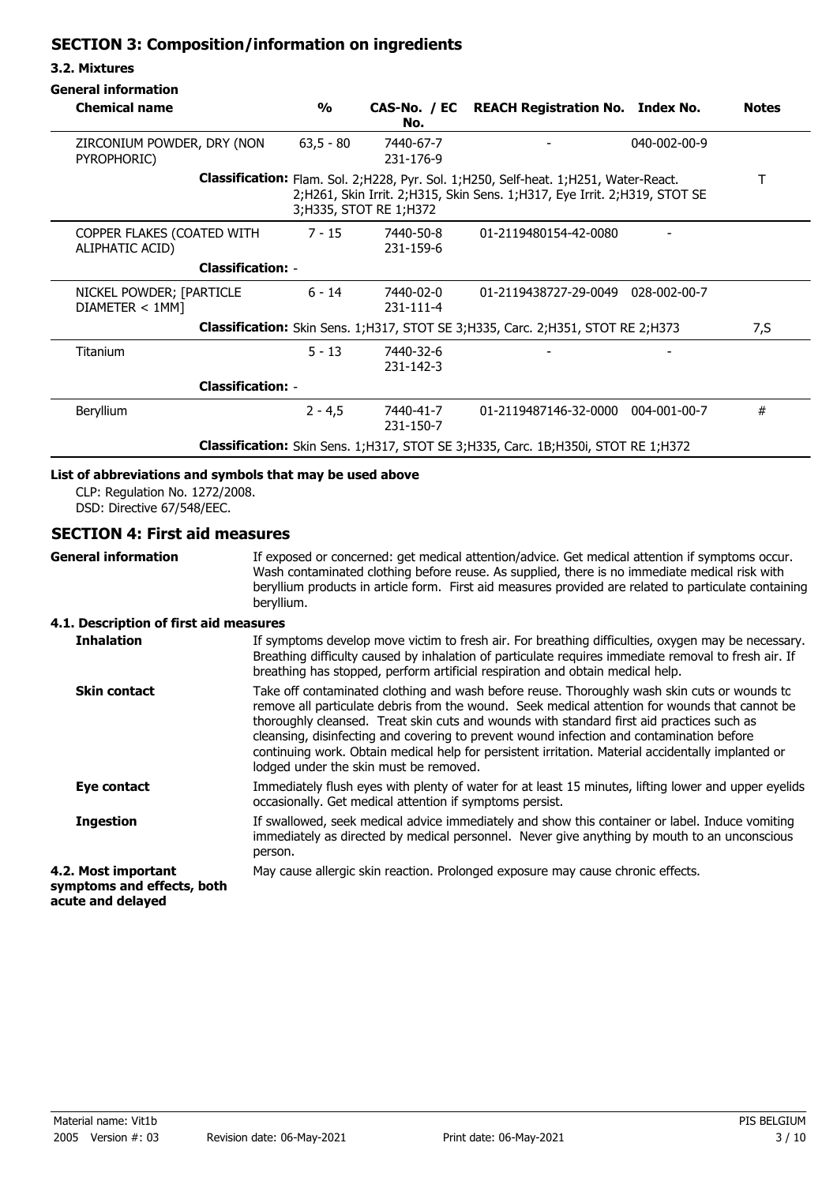## **SECTION 3: Composition/information on ingredients**

#### **3.2. Mixtures**

| <b>Chemical name</b>                                                                                                                                                                                    | $\frac{0}{0}$ | No.                    | CAS-No. / EC REACH Registration No. Index No. |              | <b>Notes</b> |
|---------------------------------------------------------------------------------------------------------------------------------------------------------------------------------------------------------|---------------|------------------------|-----------------------------------------------|--------------|--------------|
| ZIRCONIUM POWDER, DRY (NON<br>PYROPHORIC)                                                                                                                                                               | $63,5 - 80$   | 7440-67-7<br>231-176-9 |                                               | 040-002-00-9 |              |
| <b>Classification:</b> Flam. Sol. 2; H228, Pyr. Sol. 1; H250, Self-heat. 1; H251, Water-React.<br>2;H261, Skin Irrit. 2;H315, Skin Sens. 1;H317, Eye Irrit. 2;H319, STOT SE<br>3; H335, STOT RE 1; H372 |               |                        |                                               |              |              |
| COPPER FLAKES (COATED WITH<br>ALIPHATIC ACID)                                                                                                                                                           | $7 - 15$      | 7440-50-8<br>231-159-6 | 01-2119480154-42-0080                         |              |              |
| <b>Classification: -</b>                                                                                                                                                                                |               |                        |                                               |              |              |
| NICKEL POWDER; [PARTICLE<br>DIAMETER < 1MM                                                                                                                                                              | $6 - 14$      | 7440-02-0<br>231-111-4 | 01-2119438727-29-0049 028-002-00-7            |              |              |
| Classification: Skin Sens. 1; H317, STOT SE 3; H335, Carc. 2; H351, STOT RE 2; H373                                                                                                                     |               |                        |                                               | 7,S          |              |
| Titanium                                                                                                                                                                                                | $5 - 13$      | 7440-32-6<br>231-142-3 |                                               |              |              |
| <b>Classification: -</b>                                                                                                                                                                                |               |                        |                                               |              |              |
| Beryllium                                                                                                                                                                                               | $2 - 4.5$     | 7440-41-7<br>231-150-7 | 01-2119487146-32-0000 004-001-00-7            |              | #            |
| <b>Classification:</b> Skin Sens. 1;H317, STOT SE 3;H335, Carc. 1B;H350i, STOT RE 1;H372                                                                                                                |               |                        |                                               |              |              |

## **List of abbreviations and symbols that may be used above**

CLP: Regulation No. 1272/2008. DSD: Directive 67/548/EEC.

#### **SECTION 4: First aid measures**

**General information**

If exposed or concerned: get medical attention/advice. Get medical attention if symptoms occur. Wash contaminated clothing before reuse. As supplied, there is no immediate medical risk with beryllium products in article form. First aid measures provided are related to particulate containing beryllium.

#### **4.1. Description of first aid measures**

| <b>Inhalation</b>                                                      | If symptoms develop move victim to fresh air. For breathing difficulties, oxygen may be necessary.<br>Breathing difficulty caused by inhalation of particulate requires immediate removal to fresh air. If<br>breathing has stopped, perform artificial respiration and obtain medical help.                                                                                                                                                                                                                                            |
|------------------------------------------------------------------------|-----------------------------------------------------------------------------------------------------------------------------------------------------------------------------------------------------------------------------------------------------------------------------------------------------------------------------------------------------------------------------------------------------------------------------------------------------------------------------------------------------------------------------------------|
| <b>Skin contact</b>                                                    | Take off contaminated clothing and wash before reuse. Thoroughly wash skin cuts or wounds to<br>remove all particulate debris from the wound. Seek medical attention for wounds that cannot be<br>thoroughly cleansed. Treat skin cuts and wounds with standard first aid practices such as<br>cleansing, disinfecting and covering to prevent wound infection and contamination before<br>continuing work. Obtain medical help for persistent irritation. Material accidentally implanted or<br>lodged under the skin must be removed. |
| Eye contact                                                            | Immediately flush eyes with plenty of water for at least 15 minutes, lifting lower and upper eyelids<br>occasionally. Get medical attention if symptoms persist.                                                                                                                                                                                                                                                                                                                                                                        |
| <b>Ingestion</b>                                                       | If swallowed, seek medical advice immediately and show this container or label. Induce vomiting<br>immediately as directed by medical personnel. Never give anything by mouth to an unconscious<br>person.                                                                                                                                                                                                                                                                                                                              |
| 4.2. Most important<br>symptoms and effects, both<br>acute and delayed | May cause allergic skin reaction. Prolonged exposure may cause chronic effects.                                                                                                                                                                                                                                                                                                                                                                                                                                                         |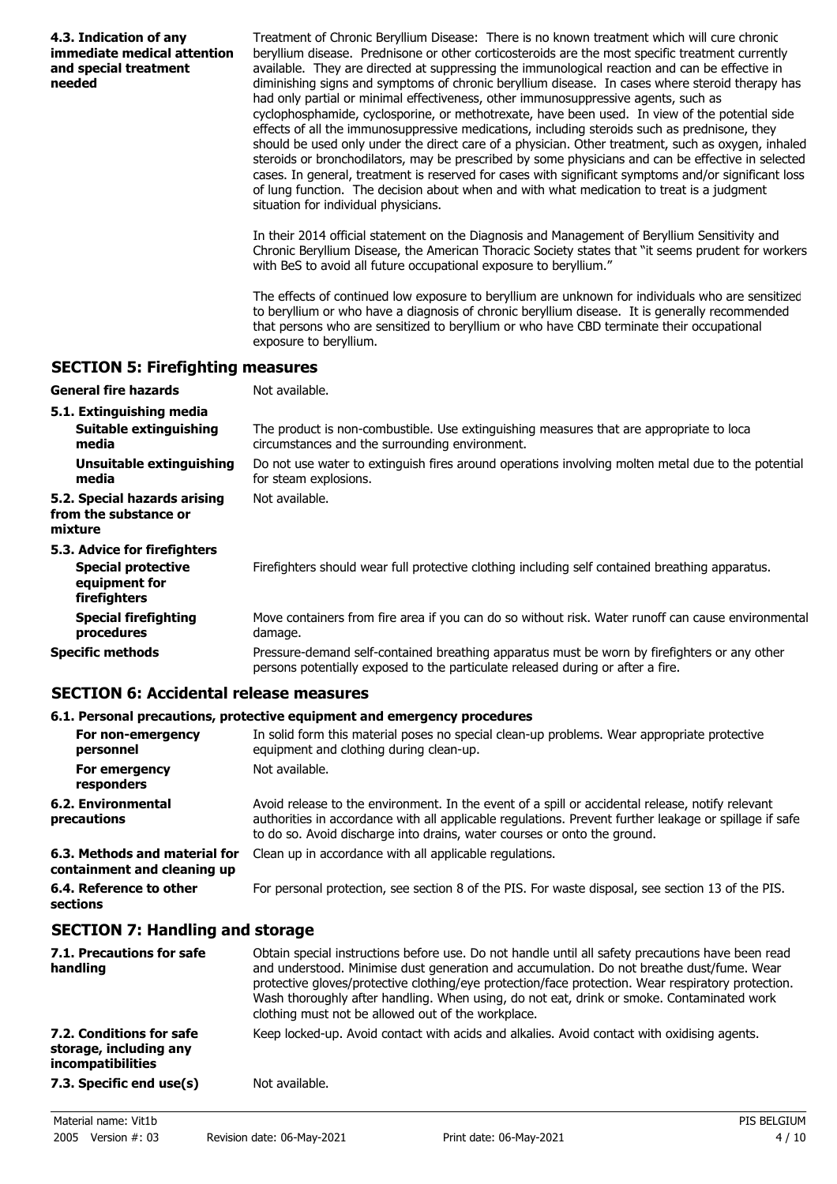| 4.3. Indication of any<br>immediate medical attention<br>and special treatment<br>needed | Treatment of Chronic Beryllium Disease: There is no known treatment which will cure chronic<br>beryllium disease. Prednisone or other corticosteroids are the most specific treatment currently<br>available. They are directed at suppressing the immunological reaction and can be effective in<br>diminishing signs and symptoms of chronic beryllium disease. In cases where steroid therapy has<br>had only partial or minimal effectiveness, other immunosuppressive agents, such as<br>cyclophosphamide, cyclosporine, or methotrexate, have been used. In view of the potential side<br>effects of all the immunosuppressive medications, including steroids such as prednisone, they<br>should be used only under the direct care of a physician. Other treatment, such as oxygen, inhaled<br>steroids or bronchodilators, may be prescribed by some physicians and can be effective in selected<br>cases. In general, treatment is reserved for cases with significant symptoms and/or significant loss<br>of lung function. The decision about when and with what medication to treat is a judgment<br>situation for individual physicians. |
|------------------------------------------------------------------------------------------|--------------------------------------------------------------------------------------------------------------------------------------------------------------------------------------------------------------------------------------------------------------------------------------------------------------------------------------------------------------------------------------------------------------------------------------------------------------------------------------------------------------------------------------------------------------------------------------------------------------------------------------------------------------------------------------------------------------------------------------------------------------------------------------------------------------------------------------------------------------------------------------------------------------------------------------------------------------------------------------------------------------------------------------------------------------------------------------------------------------------------------------------------------|
|                                                                                          | In their 2014 official statement on the Diagnosis and Management of Beryllium Sensitivity and<br>Chronic Beryllium Disease, the American Thoracic Society states that "it seems prudent for workers<br>with BeS to avoid all future occupational exposure to beryllium."                                                                                                                                                                                                                                                                                                                                                                                                                                                                                                                                                                                                                                                                                                                                                                                                                                                                               |
|                                                                                          | The effects of continued low exposure to beryllium are unknown for individuals who are sensitized<br>to beryllium or who have a diagnosis of chronic beryllium disease. It is generally recommended<br>that persons who are sensitized to beryllium or who have CBD terminate their occupational<br>exposure to beryllium.                                                                                                                                                                                                                                                                                                                                                                                                                                                                                                                                                                                                                                                                                                                                                                                                                             |
| <b>SECTION 5: Firefighting measures</b>                                                  |                                                                                                                                                                                                                                                                                                                                                                                                                                                                                                                                                                                                                                                                                                                                                                                                                                                                                                                                                                                                                                                                                                                                                        |
| <b>General fire hazards</b>                                                              | Not available.                                                                                                                                                                                                                                                                                                                                                                                                                                                                                                                                                                                                                                                                                                                                                                                                                                                                                                                                                                                                                                                                                                                                         |
| 5.1. Extinguishing media                                                                 |                                                                                                                                                                                                                                                                                                                                                                                                                                                                                                                                                                                                                                                                                                                                                                                                                                                                                                                                                                                                                                                                                                                                                        |
| Suitable extinguishing<br>media                                                          | The product is non-combustible. Use extinguishing measures that are appropriate to loca<br>circumstances and the surrounding environment.                                                                                                                                                                                                                                                                                                                                                                                                                                                                                                                                                                                                                                                                                                                                                                                                                                                                                                                                                                                                              |
| <b>Unsuitable extinguishing</b><br>media                                                 | Do not use water to extinguish fires around operations involving molten metal due to the potential<br>for steam explosions.                                                                                                                                                                                                                                                                                                                                                                                                                                                                                                                                                                                                                                                                                                                                                                                                                                                                                                                                                                                                                            |
| 5.2. Special hazards arising<br>from the substance or<br>mixture                         | Not available.                                                                                                                                                                                                                                                                                                                                                                                                                                                                                                                                                                                                                                                                                                                                                                                                                                                                                                                                                                                                                                                                                                                                         |
| 5.3. Advice for firefighters                                                             |                                                                                                                                                                                                                                                                                                                                                                                                                                                                                                                                                                                                                                                                                                                                                                                                                                                                                                                                                                                                                                                                                                                                                        |
| <b>Special protective</b><br>equipment for<br>firefighters                               | Firefighters should wear full protective clothing including self contained breathing apparatus.                                                                                                                                                                                                                                                                                                                                                                                                                                                                                                                                                                                                                                                                                                                                                                                                                                                                                                                                                                                                                                                        |
| <b>Special firefighting</b><br>procedures                                                | Move containers from fire area if you can do so without risk. Water runoff can cause environmental<br>damage.                                                                                                                                                                                                                                                                                                                                                                                                                                                                                                                                                                                                                                                                                                                                                                                                                                                                                                                                                                                                                                          |
| <b>Specific methods</b>                                                                  | Pressure-demand self-contained breathing apparatus must be worn by firefighters or any other<br>persons potentially exposed to the particulate released during or after a fire.                                                                                                                                                                                                                                                                                                                                                                                                                                                                                                                                                                                                                                                                                                                                                                                                                                                                                                                                                                        |
| <b>SECTION 6: Accidental release measures</b>                                            |                                                                                                                                                                                                                                                                                                                                                                                                                                                                                                                                                                                                                                                                                                                                                                                                                                                                                                                                                                                                                                                                                                                                                        |

#### **6.1. Personal precautions, protective equipment and emergency procedures**

| For non-emergency<br>personnel                               | In solid form this material poses no special clean-up problems. Wear appropriate protective<br>equipment and clothing during clean-up.                                                                                                                                                 |
|--------------------------------------------------------------|----------------------------------------------------------------------------------------------------------------------------------------------------------------------------------------------------------------------------------------------------------------------------------------|
| For emergency<br>responders                                  | Not available.                                                                                                                                                                                                                                                                         |
| 6.2. Environmental<br>precautions                            | Avoid release to the environment. In the event of a spill or accidental release, notify relevant<br>authorities in accordance with all applicable regulations. Prevent further leakage or spillage if safe<br>to do so. Avoid discharge into drains, water courses or onto the ground. |
| 6.3. Methods and material for<br>containment and cleaning up | Clean up in accordance with all applicable regulations.                                                                                                                                                                                                                                |
| 6.4. Reference to other<br>sections                          | For personal protection, see section 8 of the PIS. For waste disposal, see section 13 of the PIS.                                                                                                                                                                                      |

## **SECTION 7: Handling and storage**

| 7.1. Precautions for safe<br>handling                                          | Obtain special instructions before use. Do not handle until all safety precautions have been read<br>and understood. Minimise dust generation and accumulation. Do not breathe dust/fume. Wear<br>protective gloves/protective clothing/eye protection/face protection. Wear respiratory protection.<br>Wash thoroughly after handling. When using, do not eat, drink or smoke. Contaminated work<br>clothing must not be allowed out of the workplace. |
|--------------------------------------------------------------------------------|---------------------------------------------------------------------------------------------------------------------------------------------------------------------------------------------------------------------------------------------------------------------------------------------------------------------------------------------------------------------------------------------------------------------------------------------------------|
| 7.2. Conditions for safe<br>storage, including any<br><i>incompatibilities</i> | Keep locked-up. Avoid contact with acids and alkalies. Avoid contact with oxidising agents.                                                                                                                                                                                                                                                                                                                                                             |
| 7.3. Specific end use(s)                                                       | Not available.                                                                                                                                                                                                                                                                                                                                                                                                                                          |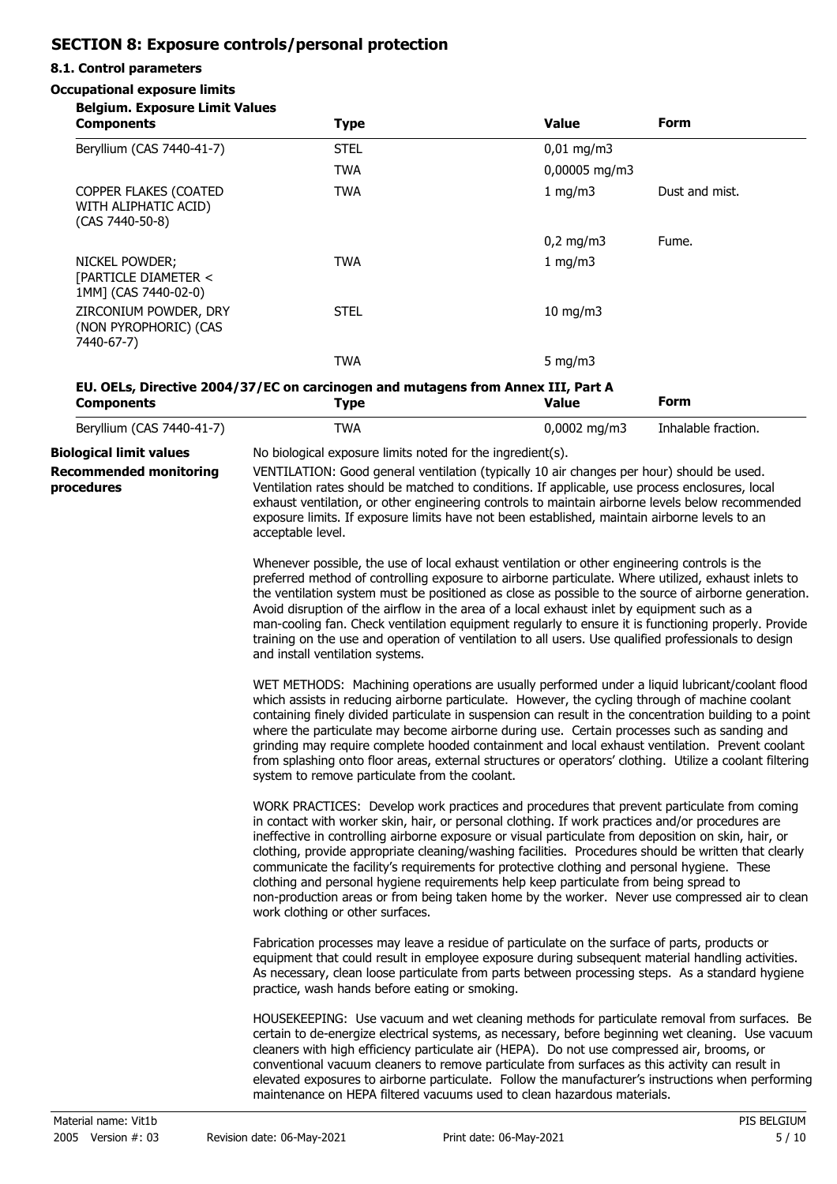# **SECTION 8: Exposure controls/personal protection**

#### **8.1. Control parameters**

#### **Occupational exposure limits**

| <b>Belgium. Exposure Limit Values</b><br><b>Components</b>       | <b>Type</b>                                                                                                                                                                                                                                                                                                                                                                                                                                                                                                                                                                                                                                                                                                                                  | <b>Value</b>                                                                                                                                                                                                                                                                                                                                                                                      | <b>Form</b>         |
|------------------------------------------------------------------|----------------------------------------------------------------------------------------------------------------------------------------------------------------------------------------------------------------------------------------------------------------------------------------------------------------------------------------------------------------------------------------------------------------------------------------------------------------------------------------------------------------------------------------------------------------------------------------------------------------------------------------------------------------------------------------------------------------------------------------------|---------------------------------------------------------------------------------------------------------------------------------------------------------------------------------------------------------------------------------------------------------------------------------------------------------------------------------------------------------------------------------------------------|---------------------|
| Beryllium (CAS 7440-41-7)                                        | <b>STEL</b>                                                                                                                                                                                                                                                                                                                                                                                                                                                                                                                                                                                                                                                                                                                                  | $0,01$ mg/m3                                                                                                                                                                                                                                                                                                                                                                                      |                     |
|                                                                  | <b>TWA</b>                                                                                                                                                                                                                                                                                                                                                                                                                                                                                                                                                                                                                                                                                                                                   | 0,00005 mg/m3                                                                                                                                                                                                                                                                                                                                                                                     |                     |
| COPPER FLAKES (COATED<br>WITH ALIPHATIC ACID)<br>(CAS 7440-50-8) | <b>TWA</b>                                                                                                                                                                                                                                                                                                                                                                                                                                                                                                                                                                                                                                                                                                                                   | 1 mg/m3                                                                                                                                                                                                                                                                                                                                                                                           | Dust and mist.      |
|                                                                  |                                                                                                                                                                                                                                                                                                                                                                                                                                                                                                                                                                                                                                                                                                                                              | $0,2$ mg/m3                                                                                                                                                                                                                                                                                                                                                                                       | Fume.               |
| NICKEL POWDER;<br>[PARTICLE DIAMETER <<br>1MM] (CAS 7440-02-0)   | <b>TWA</b>                                                                                                                                                                                                                                                                                                                                                                                                                                                                                                                                                                                                                                                                                                                                   | 1 mg/m3                                                                                                                                                                                                                                                                                                                                                                                           |                     |
| ZIRCONIUM POWDER, DRY<br>(NON PYROPHORIC) (CAS<br>7440-67-7)     | <b>STEL</b>                                                                                                                                                                                                                                                                                                                                                                                                                                                                                                                                                                                                                                                                                                                                  | 10 mg/m3                                                                                                                                                                                                                                                                                                                                                                                          |                     |
|                                                                  | <b>TWA</b>                                                                                                                                                                                                                                                                                                                                                                                                                                                                                                                                                                                                                                                                                                                                   | 5 mg/m $3$                                                                                                                                                                                                                                                                                                                                                                                        |                     |
| <b>Components</b>                                                | EU. OELs, Directive 2004/37/EC on carcinogen and mutagens from Annex III, Part A<br><b>Type</b>                                                                                                                                                                                                                                                                                                                                                                                                                                                                                                                                                                                                                                              | <b>Value</b>                                                                                                                                                                                                                                                                                                                                                                                      | <b>Form</b>         |
| Beryllium (CAS 7440-41-7)                                        | <b>TWA</b>                                                                                                                                                                                                                                                                                                                                                                                                                                                                                                                                                                                                                                                                                                                                   | $0,0002$ mg/m3                                                                                                                                                                                                                                                                                                                                                                                    | Inhalable fraction. |
| <b>Biological limit values</b>                                   | No biological exposure limits noted for the ingredient(s).                                                                                                                                                                                                                                                                                                                                                                                                                                                                                                                                                                                                                                                                                   |                                                                                                                                                                                                                                                                                                                                                                                                   |                     |
| <b>Recommended monitoring</b><br>procedures                      | acceptable level.                                                                                                                                                                                                                                                                                                                                                                                                                                                                                                                                                                                                                                                                                                                            | VENTILATION: Good general ventilation (typically 10 air changes per hour) should be used.<br>Ventilation rates should be matched to conditions. If applicable, use process enclosures, local<br>exhaust ventilation, or other engineering controls to maintain airborne levels below recommended<br>exposure limits. If exposure limits have not been established, maintain airborne levels to an |                     |
|                                                                  | Whenever possible, the use of local exhaust ventilation or other engineering controls is the<br>preferred method of controlling exposure to airborne particulate. Where utilized, exhaust inlets to<br>the ventilation system must be positioned as close as possible to the source of airborne generation.<br>Avoid disruption of the airflow in the area of a local exhaust inlet by equipment such as a<br>man-cooling fan. Check ventilation equipment regularly to ensure it is functioning properly. Provide<br>training on the use and operation of ventilation to all users. Use qualified professionals to design<br>and install ventilation systems.                                                                               |                                                                                                                                                                                                                                                                                                                                                                                                   |                     |
|                                                                  | WET METHODS: Machining operations are usually performed under a liquid lubricant/coolant flood<br>which assists in reducing airborne particulate. However, the cycling through of machine coolant<br>containing finely divided particulate in suspension can result in the concentration building to a point<br>where the particulate may become airborne during use. Certain processes such as sanding and<br>grinding may require complete hooded containment and local exhaust ventilation. Prevent coolant<br>from splashing onto floor areas, external structures or operators' clothing. Utilize a coolant filtering<br>system to remove particulate from the coolant.                                                                 |                                                                                                                                                                                                                                                                                                                                                                                                   |                     |
|                                                                  | WORK PRACTICES: Develop work practices and procedures that prevent particulate from coming<br>in contact with worker skin, hair, or personal clothing. If work practices and/or procedures are<br>ineffective in controlling airborne exposure or visual particulate from deposition on skin, hair, or<br>clothing, provide appropriate cleaning/washing facilities. Procedures should be written that clearly<br>communicate the facility's requirements for protective clothing and personal hygiene. These<br>clothing and personal hygiene requirements help keep particulate from being spread to<br>non-production areas or from being taken home by the worker. Never use compressed air to clean<br>work clothing or other surfaces. |                                                                                                                                                                                                                                                                                                                                                                                                   |                     |
|                                                                  | Fabrication processes may leave a residue of particulate on the surface of parts, products or<br>equipment that could result in employee exposure during subsequent material handling activities.<br>As necessary, clean loose particulate from parts between processing steps. As a standard hygiene<br>practice, wash hands before eating or smoking.                                                                                                                                                                                                                                                                                                                                                                                      |                                                                                                                                                                                                                                                                                                                                                                                                   |                     |
|                                                                  | HOUSEKEEPING: Use vacuum and wet cleaning methods for particulate removal from surfaces. Be<br>certain to de-energize electrical systems, as necessary, before beginning wet cleaning. Use vacuum<br>cleaners with high efficiency particulate air (HEPA). Do not use compressed air, brooms, or<br>conventional vacuum cleaners to remove particulate from surfaces as this activity can result in<br>elevated exposures to airborne particulate. Follow the manufacturer's instructions when performing<br>maintenance on HEPA filtered vacuums used to clean hazardous materials.                                                                                                                                                         |                                                                                                                                                                                                                                                                                                                                                                                                   |                     |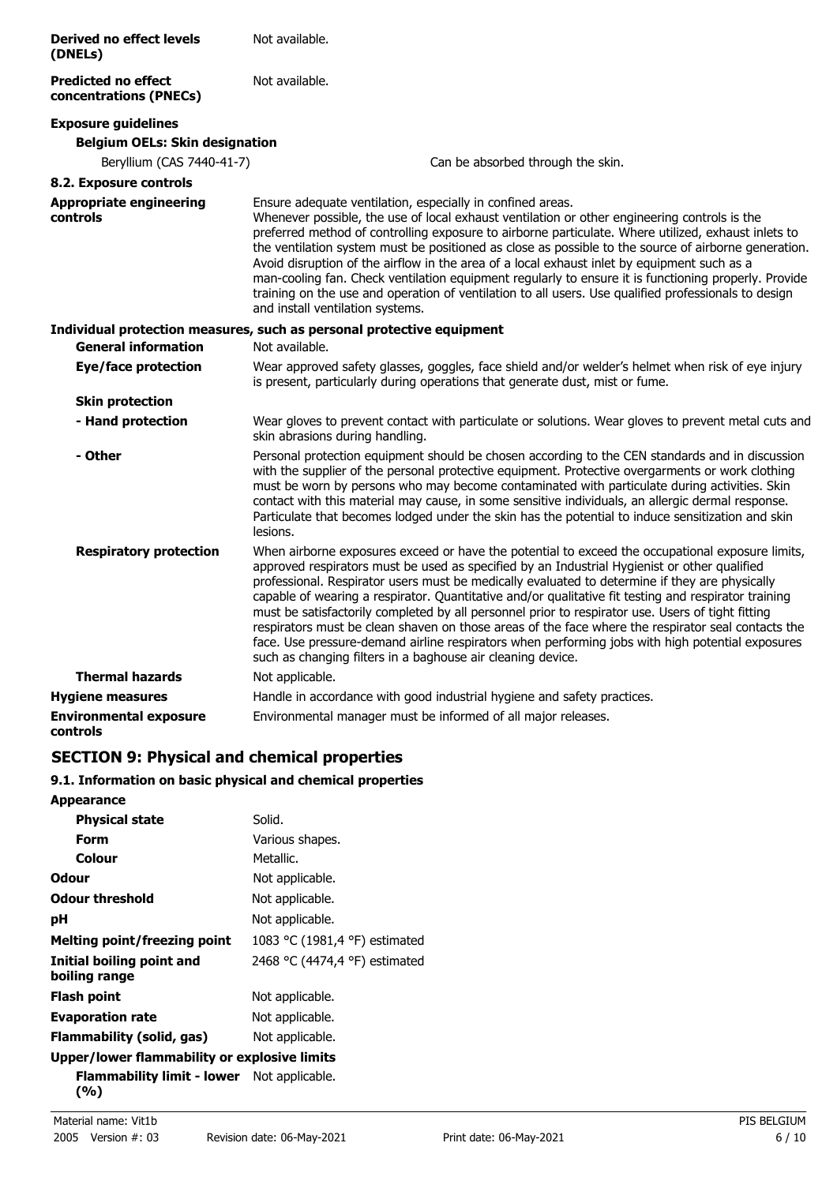| <b>Derived no effect levels</b><br>(DNELs)           | Not available.                                                                                                                                                                                                                                                                                                                                                                                                                                                                                                                                                                                                                                                                                                                                                                           |
|------------------------------------------------------|------------------------------------------------------------------------------------------------------------------------------------------------------------------------------------------------------------------------------------------------------------------------------------------------------------------------------------------------------------------------------------------------------------------------------------------------------------------------------------------------------------------------------------------------------------------------------------------------------------------------------------------------------------------------------------------------------------------------------------------------------------------------------------------|
| <b>Predicted no effect</b><br>concentrations (PNECs) | Not available.                                                                                                                                                                                                                                                                                                                                                                                                                                                                                                                                                                                                                                                                                                                                                                           |
| <b>Exposure guidelines</b>                           |                                                                                                                                                                                                                                                                                                                                                                                                                                                                                                                                                                                                                                                                                                                                                                                          |
| <b>Belgium OELs: Skin designation</b>                |                                                                                                                                                                                                                                                                                                                                                                                                                                                                                                                                                                                                                                                                                                                                                                                          |
| Beryllium (CAS 7440-41-7)                            | Can be absorbed through the skin.                                                                                                                                                                                                                                                                                                                                                                                                                                                                                                                                                                                                                                                                                                                                                        |
| 8.2. Exposure controls                               |                                                                                                                                                                                                                                                                                                                                                                                                                                                                                                                                                                                                                                                                                                                                                                                          |
| <b>Appropriate engineering</b><br>controls           | Ensure adequate ventilation, especially in confined areas.<br>Whenever possible, the use of local exhaust ventilation or other engineering controls is the<br>preferred method of controlling exposure to airborne particulate. Where utilized, exhaust inlets to<br>the ventilation system must be positioned as close as possible to the source of airborne generation.<br>Avoid disruption of the airflow in the area of a local exhaust inlet by equipment such as a<br>man-cooling fan. Check ventilation equipment regularly to ensure it is functioning properly. Provide<br>training on the use and operation of ventilation to all users. Use qualified professionals to design<br>and install ventilation systems.                                                             |
|                                                      | Individual protection measures, such as personal protective equipment                                                                                                                                                                                                                                                                                                                                                                                                                                                                                                                                                                                                                                                                                                                    |
| <b>General information</b>                           | Not available.                                                                                                                                                                                                                                                                                                                                                                                                                                                                                                                                                                                                                                                                                                                                                                           |
| Eye/face protection                                  | Wear approved safety glasses, goggles, face shield and/or welder's helmet when risk of eye injury<br>is present, particularly during operations that generate dust, mist or fume.                                                                                                                                                                                                                                                                                                                                                                                                                                                                                                                                                                                                        |
| <b>Skin protection</b>                               |                                                                                                                                                                                                                                                                                                                                                                                                                                                                                                                                                                                                                                                                                                                                                                                          |
| - Hand protection                                    | Wear gloves to prevent contact with particulate or solutions. Wear gloves to prevent metal cuts and<br>skin abrasions during handling.                                                                                                                                                                                                                                                                                                                                                                                                                                                                                                                                                                                                                                                   |
| - Other                                              | Personal protection equipment should be chosen according to the CEN standards and in discussion<br>with the supplier of the personal protective equipment. Protective overgarments or work clothing<br>must be worn by persons who may become contaminated with particulate during activities. Skin<br>contact with this material may cause, in some sensitive individuals, an allergic dermal response.<br>Particulate that becomes lodged under the skin has the potential to induce sensitization and skin<br>lesions.                                                                                                                                                                                                                                                                |
| <b>Respiratory protection</b>                        | When airborne exposures exceed or have the potential to exceed the occupational exposure limits,<br>approved respirators must be used as specified by an Industrial Hygienist or other qualified<br>professional. Respirator users must be medically evaluated to determine if they are physically<br>capable of wearing a respirator. Quantitative and/or qualitative fit testing and respirator training<br>must be satisfactorily completed by all personnel prior to respirator use. Users of tight fitting<br>respirators must be clean shaven on those areas of the face where the respirator seal contacts the<br>face. Use pressure-demand airline respirators when performing jobs with high potential exposures<br>such as changing filters in a baghouse air cleaning device. |
| <b>Thermal hazards</b>                               | Not applicable.                                                                                                                                                                                                                                                                                                                                                                                                                                                                                                                                                                                                                                                                                                                                                                          |
| <b>Hygiene measures</b>                              | Handle in accordance with good industrial hygiene and safety practices.                                                                                                                                                                                                                                                                                                                                                                                                                                                                                                                                                                                                                                                                                                                  |
| <b>Environmental exposure</b><br>controls            | Environmental manager must be informed of all major releases.                                                                                                                                                                                                                                                                                                                                                                                                                                                                                                                                                                                                                                                                                                                            |

## **SECTION 9: Physical and chemical properties**

## **9.1. Information on basic physical and chemical properties**

| <b>Appearance</b>                                          |                               |  |
|------------------------------------------------------------|-------------------------------|--|
| <b>Physical state</b>                                      | Solid.                        |  |
| Form                                                       | Various shapes.               |  |
| Colour                                                     | Metallic.                     |  |
| Odour                                                      | Not applicable.               |  |
| <b>Odour threshold</b>                                     | Not applicable.               |  |
| рH                                                         | Not applicable.               |  |
| <b>Melting point/freezing point</b>                        | 1083 °C (1981,4 °F) estimated |  |
| Initial boiling point and<br>boiling range                 | 2468 °C (4474,4 °F) estimated |  |
| Flash point                                                | Not applicable.               |  |
| <b>Evaporation rate</b>                                    | Not applicable.               |  |
| Flammability (solid, gas)                                  | Not applicable.               |  |
| Upper/lower flammability or explosive limits               |                               |  |
| <b>Flammability limit - lower</b> Not applicable.<br>(9/0) |                               |  |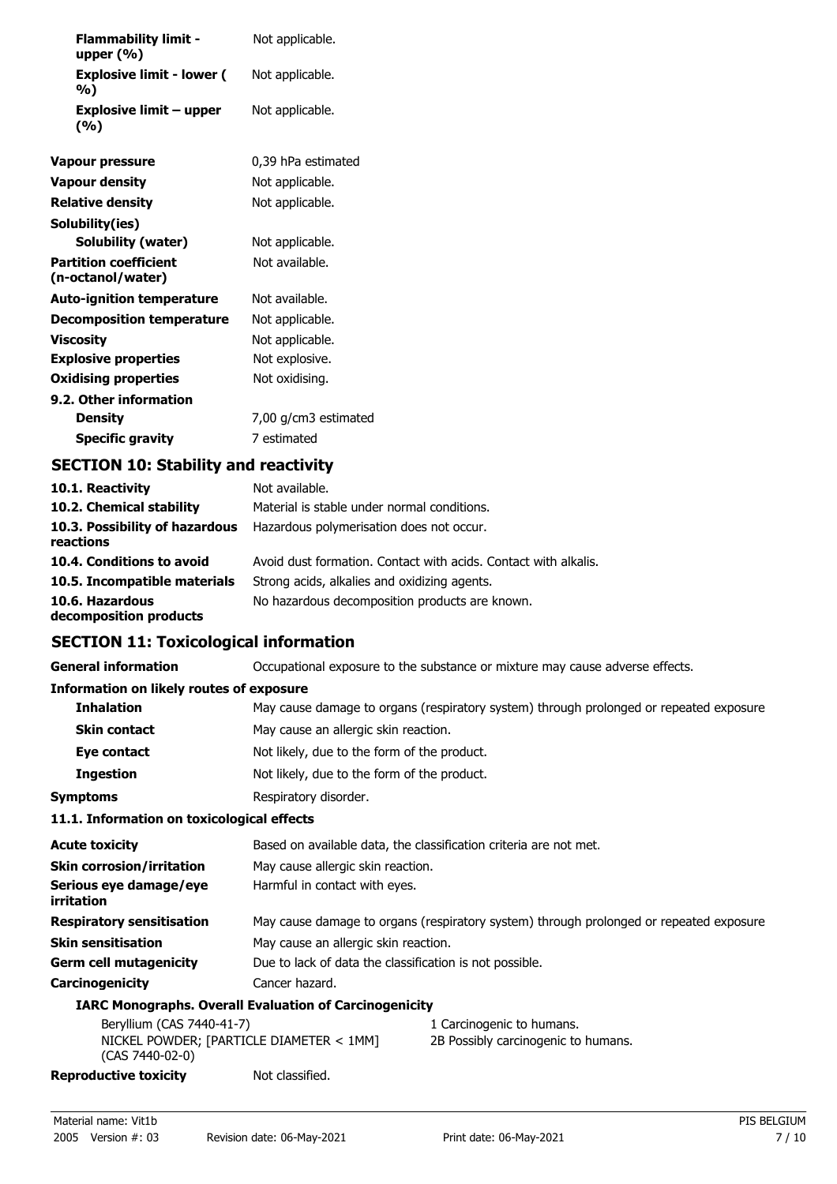| <b>Flammability limit -</b><br>upper $(\%)$       | Not applicable.      |
|---------------------------------------------------|----------------------|
| <b>Explosive limit - lower (</b><br>%)            | Not applicable.      |
| <b>Explosive limit - upper</b><br>(%)             | Not applicable.      |
| Vapour pressure                                   | 0,39 hPa estimated   |
| <b>Vapour density</b>                             | Not applicable.      |
| <b>Relative density</b>                           | Not applicable.      |
| Solubility(ies)                                   |                      |
| Solubility (water)                                | Not applicable.      |
| <b>Partition coefficient</b><br>(n-octanol/water) | Not available.       |
| <b>Auto-ignition temperature</b>                  | Not available.       |
| <b>Decomposition temperature</b>                  | Not applicable.      |
| Viscosity                                         | Not applicable.      |
| <b>Explosive properties</b>                       | Not explosive.       |
| <b>Oxidising properties</b>                       | Not oxidising.       |
| 9.2. Other information                            |                      |
| <b>Density</b>                                    | 7,00 g/cm3 estimated |
| <b>Specific gravity</b>                           | 7 estimated          |

## **SECTION 10: Stability and reactivity**

| 10.1. Reactivity                            | Not available.                                                  |
|---------------------------------------------|-----------------------------------------------------------------|
| 10.2. Chemical stability                    | Material is stable under normal conditions.                     |
| 10.3. Possibility of hazardous<br>reactions | Hazardous polymerisation does not occur.                        |
| 10.4. Conditions to avoid                   | Avoid dust formation. Contact with acids. Contact with alkalis. |
| 10.5. Incompatible materials                | Strong acids, alkalies and oxidizing agents.                    |
| 10.6. Hazardous<br>decomposition products   | No hazardous decomposition products are known.                  |

## **SECTION 11: Toxicological information**

**General information CCCUPATION** Occupational exposure to the substance or mixture may cause adverse effects.

#### **Information on likely routes of exposure**

| THROUGHLOUD ON TIKETY TOULES OF EXPOSULE   |                                                                                         |
|--------------------------------------------|-----------------------------------------------------------------------------------------|
| <b>Inhalation</b>                          | May cause damage to organs (respiratory system) through prolonged or repeated exposure. |
| <b>Skin contact</b>                        | May cause an allergic skin reaction.                                                    |
| Eye contact                                | Not likely, due to the form of the product.                                             |
| <b>Ingestion</b>                           | Not likely, due to the form of the product.                                             |
| <b>Symptoms</b>                            | Respiratory disorder.                                                                   |
| 11.1. Information on toxicological effects |                                                                                         |
| <b>Acute toxicity</b>                      | Based on available data, the classification criteria are not met.                       |
| <b>Skin corrosion/irritation</b>           | May cause allergic skin reaction.                                                       |
| Serious eye damage/eye<br>irritation       | Harmful in contact with eyes.                                                           |
| <b>Respiratory sensitisation</b>           | May cause damage to organs (respiratory system) through prolonged or repeated exposure. |
| <b>Skin sensitisation</b>                  | May cause an allergic skin reaction.                                                    |
| <b>Germ cell mutagenicity</b>              | Due to lack of data the classification is not possible.                                 |
| Carcinogenicity                            | Cancer hazard.                                                                          |
|                                            | <b>IARC Monographs. Overall Evaluation of Carcinogenicity</b>                           |
| Bervllium (CAS 7440-41-7)                  | Carcinogenic to humans.                                                                 |

| Beryllium (CAS 7440-41-7)                |                 | 1 Carcinogenic to humans.           |
|------------------------------------------|-----------------|-------------------------------------|
| NICKEL POWDER: [PARTICLE DIAMETER < 1MM] |                 | 2B Possibly carcinogenic to humans. |
| $(CAS 7440-02-0)$                        |                 |                                     |
| Reproductive toxicity                    | Not classified. |                                     |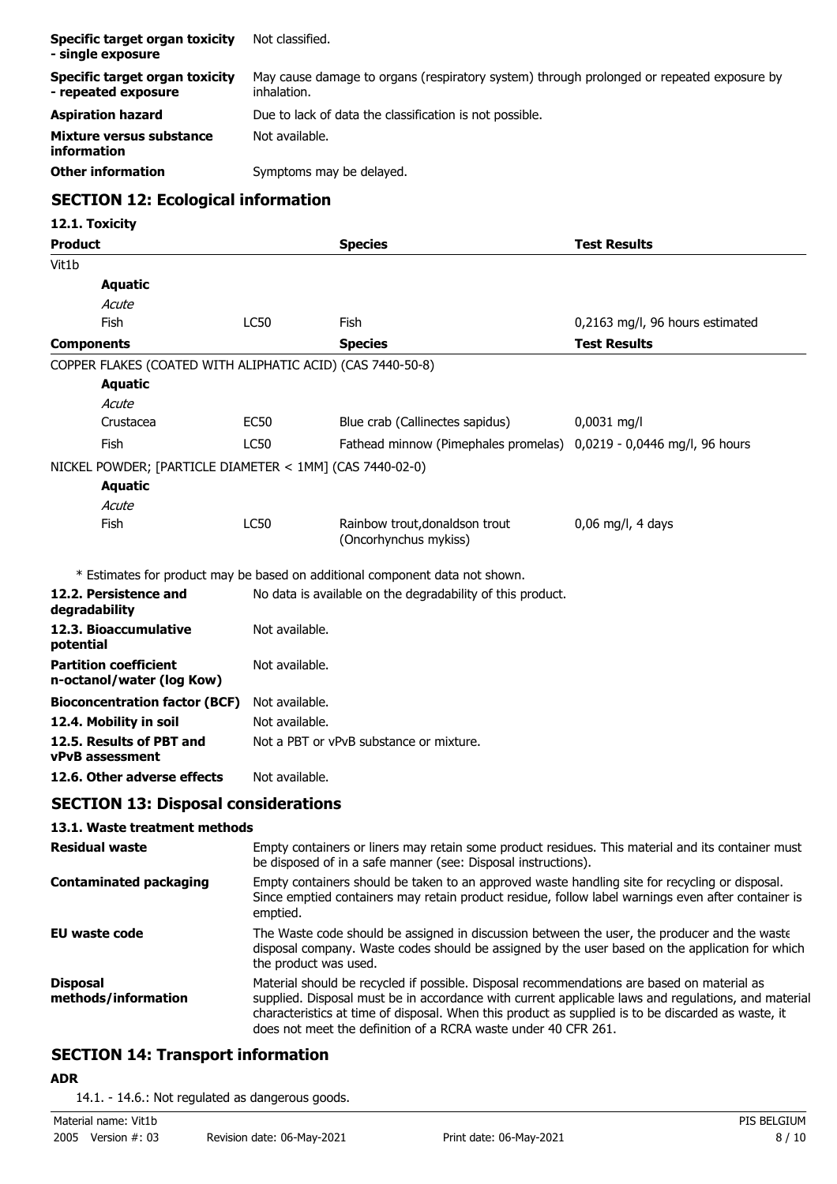| Specific target organ toxicity<br>- single exposure   | Not classified.                                                                                          |
|-------------------------------------------------------|----------------------------------------------------------------------------------------------------------|
| Specific target organ toxicity<br>- repeated exposure | May cause damage to organs (respiratory system) through prolonged or repeated exposure by<br>inhalation. |
| <b>Aspiration hazard</b>                              | Due to lack of data the classification is not possible.                                                  |
| Mixture versus substance<br>information               | Not available.                                                                                           |
| <b>Other information</b>                              | Symptoms may be delayed.                                                                                 |

## **SECTION 12: Ecological information**

## **12.1. Toxicity**

| <b>Product</b>                                             |                                                                                                                                                                                                                                                                                                                                                                           | <b>Species</b>                                                               | <b>Test Results</b>             |
|------------------------------------------------------------|---------------------------------------------------------------------------------------------------------------------------------------------------------------------------------------------------------------------------------------------------------------------------------------------------------------------------------------------------------------------------|------------------------------------------------------------------------------|---------------------------------|
| Vit1b                                                      |                                                                                                                                                                                                                                                                                                                                                                           |                                                                              |                                 |
| <b>Aquatic</b>                                             |                                                                                                                                                                                                                                                                                                                                                                           |                                                                              |                                 |
| Acute                                                      |                                                                                                                                                                                                                                                                                                                                                                           |                                                                              |                                 |
| Fish                                                       | <b>LC50</b>                                                                                                                                                                                                                                                                                                                                                               | Fish                                                                         | 0,2163 mg/l, 96 hours estimated |
| <b>Components</b>                                          |                                                                                                                                                                                                                                                                                                                                                                           | <b>Species</b>                                                               | <b>Test Results</b>             |
| COPPER FLAKES (COATED WITH ALIPHATIC ACID) (CAS 7440-50-8) |                                                                                                                                                                                                                                                                                                                                                                           |                                                                              |                                 |
| <b>Aquatic</b>                                             |                                                                                                                                                                                                                                                                                                                                                                           |                                                                              |                                 |
| Acute                                                      |                                                                                                                                                                                                                                                                                                                                                                           |                                                                              |                                 |
| Crustacea                                                  | <b>EC50</b>                                                                                                                                                                                                                                                                                                                                                               | Blue crab (Callinectes sapidus)                                              | $0,0031$ mg/l                   |
| Fish                                                       | <b>LC50</b>                                                                                                                                                                                                                                                                                                                                                               | Fathead minnow (Pimephales promelas) 0,0219 - 0,0446 mg/l, 96 hours          |                                 |
| NICKEL POWDER; [PARTICLE DIAMETER < 1MM] (CAS 7440-02-0)   |                                                                                                                                                                                                                                                                                                                                                                           |                                                                              |                                 |
| <b>Aquatic</b>                                             |                                                                                                                                                                                                                                                                                                                                                                           |                                                                              |                                 |
| Acute                                                      |                                                                                                                                                                                                                                                                                                                                                                           |                                                                              |                                 |
| Fish                                                       | <b>LC50</b>                                                                                                                                                                                                                                                                                                                                                               | Rainbow trout, donaldson trout<br>(Oncorhynchus mykiss)                      | $0.06$ mg/l, 4 days             |
|                                                            |                                                                                                                                                                                                                                                                                                                                                                           | * Estimates for product may be based on additional component data not shown. |                                 |
| 12.2. Persistence and<br>degradability                     |                                                                                                                                                                                                                                                                                                                                                                           | No data is available on the degradability of this product.                   |                                 |
| 12.3. Bioaccumulative<br>potential                         | Not available.                                                                                                                                                                                                                                                                                                                                                            |                                                                              |                                 |
| <b>Partition coefficient</b><br>n-octanol/water (log Kow)  | Not available.                                                                                                                                                                                                                                                                                                                                                            |                                                                              |                                 |
| <b>Bioconcentration factor (BCF)</b>                       | Not available.                                                                                                                                                                                                                                                                                                                                                            |                                                                              |                                 |
| 12.4. Mobility in soil                                     | Not available.                                                                                                                                                                                                                                                                                                                                                            |                                                                              |                                 |
| 12.5. Results of PBT and<br><b>vPvB</b> assessment         | Not a PBT or vPvB substance or mixture.                                                                                                                                                                                                                                                                                                                                   |                                                                              |                                 |
| 12.6. Other adverse effects                                | Not available.                                                                                                                                                                                                                                                                                                                                                            |                                                                              |                                 |
| <b>SECTION 13: Disposal considerations</b>                 |                                                                                                                                                                                                                                                                                                                                                                           |                                                                              |                                 |
| 13.1. Waste treatment methods                              |                                                                                                                                                                                                                                                                                                                                                                           |                                                                              |                                 |
| <b>Residual waste</b>                                      | Empty containers or liners may retain some product residues. This material and its container must<br>be disposed of in a safe manner (see: Disposal instructions).                                                                                                                                                                                                        |                                                                              |                                 |
| <b>Contaminated packaging</b>                              | Empty containers should be taken to an approved waste handling site for recycling or disposal.<br>Since emptied containers may retain product residue, follow label warnings even after container is<br>emptied.                                                                                                                                                          |                                                                              |                                 |
| <b>EU waste code</b>                                       | The Waste code should be assigned in discussion between the user, the producer and the waste<br>disposal company. Waste codes should be assigned by the user based on the application for which<br>the product was used.                                                                                                                                                  |                                                                              |                                 |
| <b>Disposal</b><br>methods/information                     | Material should be recycled if possible. Disposal recommendations are based on material as<br>supplied. Disposal must be in accordance with current applicable laws and regulations, and material<br>characteristics at time of disposal. When this product as supplied is to be discarded as waste, it<br>does not meet the definition of a RCRA waste under 40 CFR 261. |                                                                              |                                 |

## **SECTION 14: Transport information**

#### **ADR**

14.1. - 14.6.: Not regulated as dangerous goods.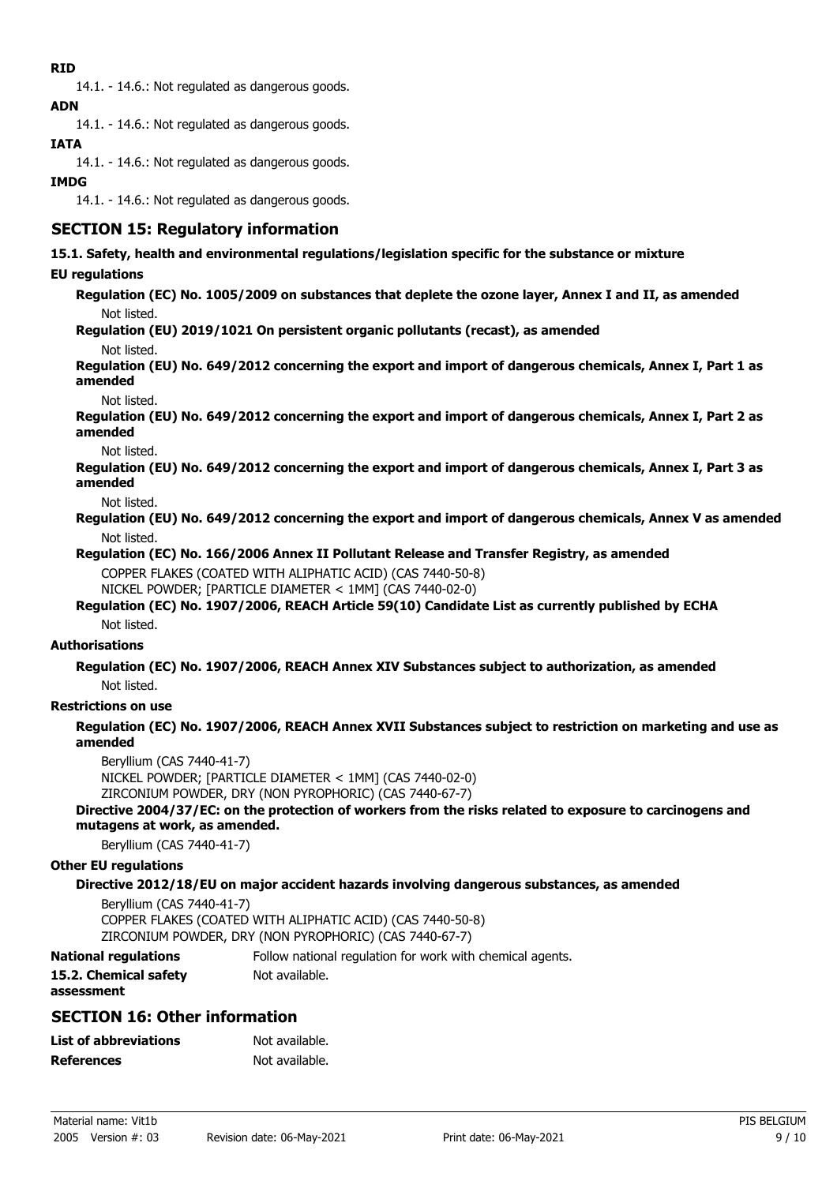## **RID**

14.1. - 14.6.: Not regulated as dangerous goods.

## **ADN**

14.1. - 14.6.: Not regulated as dangerous goods.

## **IATA**

14.1. - 14.6.: Not regulated as dangerous goods.

### **IMDG**

14.1. - 14.6.: Not regulated as dangerous goods.

## **SECTION 15: Regulatory information**

**15.1. Safety, health and environmental regulations/legislation specific for the substance or mixture**

## **EU regulations**

**Regulation (EC) No. 1005/2009 on substances that deplete the ozone layer, Annex I and II, as amended** Not listed.

**Regulation (EU) 2019/1021 On persistent organic pollutants (recast), as amended**

Not listed.

**Regulation (EU) No. 649/2012 concerning the export and import of dangerous chemicals, Annex I, Part 1 as amended**

Not listed.

**Regulation (EU) No. 649/2012 concerning the export and import of dangerous chemicals, Annex I, Part 2 as amended**

Not listed.

**Regulation (EU) No. 649/2012 concerning the export and import of dangerous chemicals, Annex I, Part 3 as amended**

Not listed.

**Regulation (EU) No. 649/2012 concerning the export and import of dangerous chemicals, Annex V as amended** Not listed.

**Regulation (EC) No. 166/2006 Annex II Pollutant Release and Transfer Registry, as amended**

COPPER FLAKES (COATED WITH ALIPHATIC ACID) (CAS 7440-50-8)

NICKEL POWDER; [PARTICLE DIAMETER < 1MM] (CAS 7440-02-0)

#### **Regulation (EC) No. 1907/2006, REACH Article 59(10) Candidate List as currently published by ECHA** Not listed.

#### **Authorisations**

**Regulation (EC) No. 1907/2006, REACH Annex XIV Substances subject to authorization, as amended** Not listed.

# **Restrictions on use**

**Regulation (EC) No. 1907/2006, REACH Annex XVII Substances subject to restriction on marketing and use as amended**

Beryllium (CAS 7440-41-7) NICKEL POWDER; [PARTICLE DIAMETER < 1MM] (CAS 7440-02-0) ZIRCONIUM POWDER, DRY (NON PYROPHORIC) (CAS 7440-67-7)

**Directive 2004/37/EC: on the protection of workers from the risks related to exposure to carcinogens and mutagens at work, as amended.**

Beryllium (CAS 7440-41-7)

#### **Other EU regulations**

#### **Directive 2012/18/EU on major accident hazards involving dangerous substances, as amended**

Beryllium (CAS 7440-41-7) COPPER FLAKES (COATED WITH ALIPHATIC ACID) (CAS 7440-50-8) ZIRCONIUM POWDER, DRY (NON PYROPHORIC) (CAS 7440-67-7)

**National regulations** Follow national regulation for work with chemical agents.

| 15.2. Chemical safety |  |
|-----------------------|--|
| assessment            |  |

# Not available.

## **SECTION 16: Other information**

| <b>List of abbreviations</b> | Not available. |
|------------------------------|----------------|
| <b>References</b>            | Not available. |